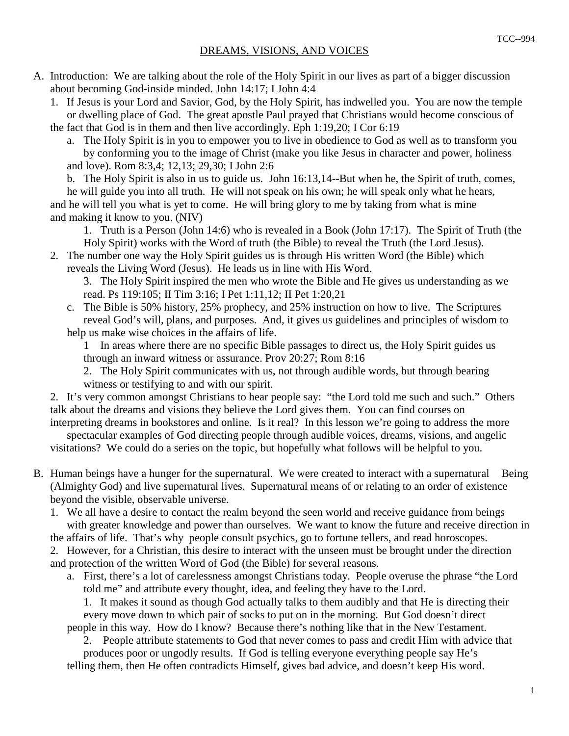- A. Introduction: We are talking about the role of the Holy Spirit in our lives as part of a bigger discussion about becoming God-inside minded. John 14:17; I John 4:4
	- 1. If Jesus is your Lord and Savior, God, by the Holy Spirit, has indwelled you. You are now the temple or dwelling place of God. The great apostle Paul prayed that Christians would become conscious of the fact that God is in them and then live accordingly. Eph 1:19,20; I Cor 6:19
		- a. The Holy Spirit is in you to empower you to live in obedience to God as well as to transform you by conforming you to the image of Christ (make you like Jesus in character and power, holiness and love). Rom 8:3,4; 12,13; 29,30; I John 2:6

 b. The Holy Spirit is also in us to guide us. John 16:13,14--But when he, the Spirit of truth, comes, he will guide you into all truth. He will not speak on his own; he will speak only what he hears,

 and he will tell you what is yet to come. He will bring glory to me by taking from what is mine and making it know to you. (NIV)

 1. Truth is a Person (John 14:6) who is revealed in a Book (John 17:17). The Spirit of Truth (the Holy Spirit) works with the Word of truth (the Bible) to reveal the Truth (the Lord Jesus).

 2. The number one way the Holy Spirit guides us is through His written Word (the Bible) which reveals the Living Word (Jesus). He leads us in line with His Word.

 3. The Holy Spirit inspired the men who wrote the Bible and He gives us understanding as we read. Ps 119:105; II Tim 3:16; I Pet 1:11,12; II Pet 1:20,21

- c. The Bible is 50% history, 25% prophecy, and 25% instruction on how to live. The Scriptures reveal God's will, plans, and purposes. And, it gives us guidelines and principles of wisdom to help us make wise choices in the affairs of life.
	- 1 In areas where there are no specific Bible passages to direct us, the Holy Spirit guides us through an inward witness or assurance. Prov 20:27; Rom 8:16

 2. The Holy Spirit communicates with us, not through audible words, but through bearing witness or testifying to and with our spirit.

 2. It's very common amongst Christians to hear people say: "the Lord told me such and such." Others talk about the dreams and visions they believe the Lord gives them. You can find courses on interpreting dreams in bookstores and online. Is it real? In this lesson we're going to address the more

 spectacular examples of God directing people through audible voices, dreams, visions, and angelic visitations? We could do a series on the topic, but hopefully what follows will be helpful to you.

- B. Human beings have a hunger for the supernatural. We were created to interact with a supernatural Being (Almighty God) and live supernatural lives. Supernatural means of or relating to an order of existence beyond the visible, observable universe.
	- 1. We all have a desire to contact the realm beyond the seen world and receive guidance from beings with greater knowledge and power than ourselves. We want to know the future and receive direction in

the affairs of life. That's why people consult psychics, go to fortune tellers, and read horoscopes.

- 2. However, for a Christian, this desire to interact with the unseen must be brought under the direction and protection of the written Word of God (the Bible) for several reasons.
	- a. First, there's a lot of carelessness amongst Christians today. People overuse the phrase "the Lord told me" and attribute every thought, idea, and feeling they have to the Lord.

 1. It makes it sound as though God actually talks to them audibly and that He is directing their every move down to which pair of socks to put on in the morning. But God doesn't direct

people in this way. How do I know? Because there's nothing like that in the New Testament.

 2. People attribute statements to God that never comes to pass and credit Him with advice that produces poor or ungodly results. If God is telling everyone everything people say He's

telling them, then He often contradicts Himself, gives bad advice, and doesn't keep His word.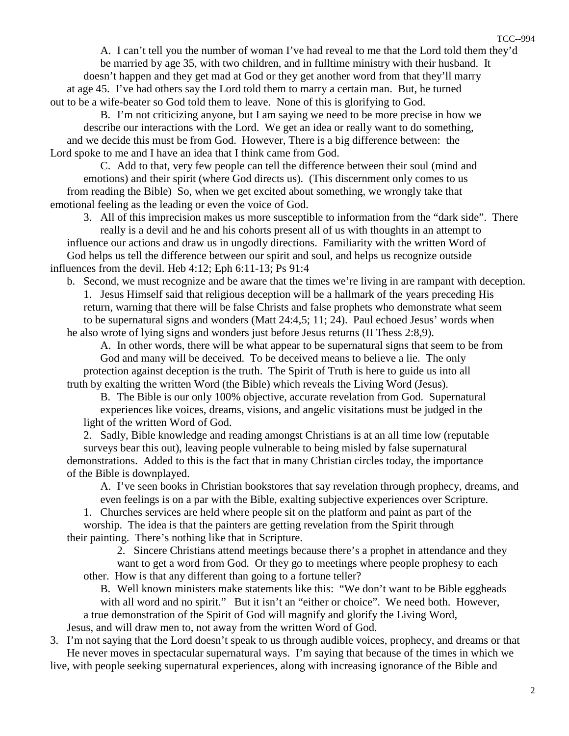A. I can't tell you the number of woman I've had reveal to me that the Lord told them they'd

 be married by age 35, with two children, and in fulltime ministry with their husband. It doesn't happen and they get mad at God or they get another word from that they'll marry at age 45. I've had others say the Lord told them to marry a certain man. But, he turned

 out to be a wife-beater so God told them to leave. None of this is glorifying to God. B. I'm not criticizing anyone, but I am saying we need to be more precise in how we describe our interactions with the Lord. We get an idea or really want to do something, and we decide this must be from God. However, There is a big difference between: the Lord spoke to me and I have an idea that I think came from God.

 C. Add to that, very few people can tell the difference between their soul (mind and emotions) and their spirit (where God directs us). (This discernment only comes to us from reading the Bible) So, when we get excited about something, we wrongly take that emotional feeling as the leading or even the voice of God.

 3. All of this imprecision makes us more susceptible to information from the "dark side". There really is a devil and he and his cohorts present all of us with thoughts in an attempt to influence our actions and draw us in ungodly directions. Familiarity with the written Word of God helps us tell the difference between our spirit and soul, and helps us recognize outside influences from the devil. Heb 4:12; Eph 6:11-13; Ps 91:4

 b. Second, we must recognize and be aware that the times we're living in are rampant with deception. 1. Jesus Himself said that religious deception will be a hallmark of the years preceding His return, warning that there will be false Christs and false prophets who demonstrate what seem to be supernatural signs and wonders (Matt 24:4,5; 11; 24). Paul echoed Jesus' words when he also wrote of lying signs and wonders just before Jesus returns (II Thess 2:8,9).

 A. In other words, there will be what appear to be supernatural signs that seem to be from God and many will be deceived. To be deceived means to believe a lie. The only protection against deception is the truth. The Spirit of Truth is here to guide us into all truth by exalting the written Word (the Bible) which reveals the Living Word (Jesus).

B. The Bible is our only 100% objective, accurate revelation from God. Supernatural

 experiences like voices, dreams, visions, and angelic visitations must be judged in the light of the written Word of God.

 2. Sadly, Bible knowledge and reading amongst Christians is at an all time low (reputable surveys bear this out), leaving people vulnerable to being misled by false supernatural demonstrations. Added to this is the fact that in many Christian circles today, the importance of the Bible is downplayed.

 A. I've seen books in Christian bookstores that say revelation through prophecy, dreams, and even feelings is on a par with the Bible, exalting subjective experiences over Scripture.

1. Churches services are held where people sit on the platform and paint as part of the

 worship. The idea is that the painters are getting revelation from the Spirit through their painting. There's nothing like that in Scripture.

2. Sincere Christians attend meetings because there's a prophet in attendance and they

 want to get a word from God. Or they go to meetings where people prophesy to each other. How is that any different than going to a fortune teller?

 B. Well known ministers make statements like this: "We don't want to be Bible eggheads with all word and no spirit." But it isn't an "either or choice". We need both. However, a true demonstration of the Spirit of God will magnify and glorify the Living Word,

Jesus, and will draw men to, not away from the written Word of God.

 3. I'm not saying that the Lord doesn't speak to us through audible voices, prophecy, and dreams or that He never moves in spectacular supernatural ways. I'm saying that because of the times in which we live, with people seeking supernatural experiences, along with increasing ignorance of the Bible and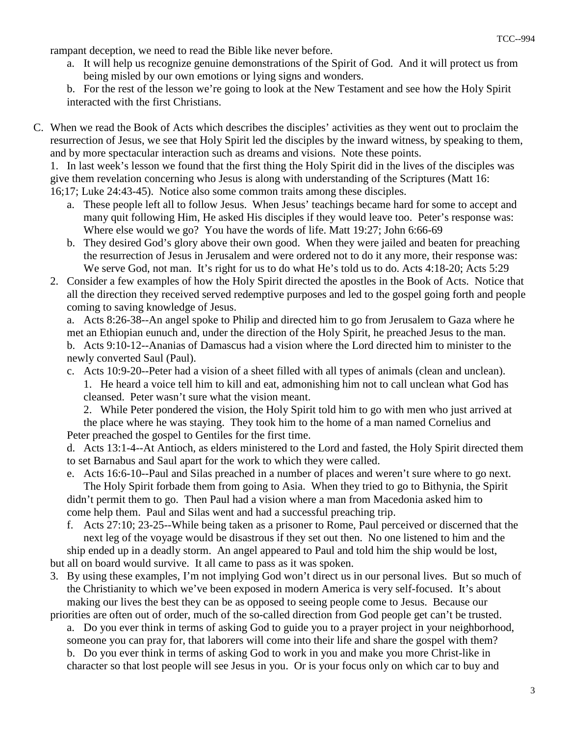rampant deception, we need to read the Bible like never before.

 a. It will help us recognize genuine demonstrations of the Spirit of God. And it will protect us from being misled by our own emotions or lying signs and wonders.

 b. For the rest of the lesson we're going to look at the New Testament and see how the Holy Spirit interacted with the first Christians.

C. When we read the Book of Acts which describes the disciples' activities as they went out to proclaim the resurrection of Jesus, we see that Holy Spirit led the disciples by the inward witness, by speaking to them, and by more spectacular interaction such as dreams and visions. Note these points.

 1. In last week's lesson we found that the first thing the Holy Spirit did in the lives of the disciples was give them revelation concerning who Jesus is along with understanding of the Scriptures (Matt 16: 16;17; Luke 24:43-45). Notice also some common traits among these disciples.

- a. These people left all to follow Jesus. When Jesus' teachings became hard for some to accept and many quit following Him, He asked His disciples if they would leave too. Peter's response was: Where else would we go? You have the words of life. Matt 19:27; John 6:66-69
- b. They desired God's glory above their own good. When they were jailed and beaten for preaching the resurrection of Jesus in Jerusalem and were ordered not to do it any more, their response was: We serve God, not man. It's right for us to do what He's told us to do. Acts 4:18-20; Acts 5:29
- 2. Consider a few examples of how the Holy Spirit directed the apostles in the Book of Acts. Notice that all the direction they received served redemptive purposes and led to the gospel going forth and people coming to saving knowledge of Jesus.

 a. Acts 8:26-38--An angel spoke to Philip and directed him to go from Jerusalem to Gaza where he met an Ethiopian eunuch and, under the direction of the Holy Spirit, he preached Jesus to the man.

- b. Acts 9:10-12--Ananias of Damascus had a vision where the Lord directed him to minister to the newly converted Saul (Paul).
- c. Acts 10:9-20--Peter had a vision of a sheet filled with all types of animals (clean and unclean). 1. He heard a voice tell him to kill and eat, admonishing him not to call unclean what God has cleansed. Peter wasn't sure what the vision meant.

 2. While Peter pondered the vision, the Holy Spirit told him to go with men who just arrived at the place where he was staying. They took him to the home of a man named Cornelius and Peter preached the gospel to Gentiles for the first time.

 d. Acts 13:1-4--At Antioch, as elders ministered to the Lord and fasted, the Holy Spirit directed them to set Barnabus and Saul apart for the work to which they were called.

- e. Acts 16:6-10--Paul and Silas preached in a number of places and weren't sure where to go next. The Holy Spirit forbade them from going to Asia. When they tried to go to Bithynia, the Spirit didn't permit them to go. Then Paul had a vision where a man from Macedonia asked him to come help them. Paul and Silas went and had a successful preaching trip.
- f. Acts 27:10; 23-25--While being taken as a prisoner to Rome, Paul perceived or discerned that the next leg of the voyage would be disastrous if they set out then. No one listened to him and the ship ended up in a deadly storm. An angel appeared to Paul and told him the ship would be lost,
- but all on board would survive. It all came to pass as it was spoken.
- 3. By using these examples, I'm not implying God won't direct us in our personal lives. But so much of the Christianity to which we've been exposed in modern America is very self-focused. It's about making our lives the best they can be as opposed to seeing people come to Jesus. Because our priorities are often out of order, much of the so-called direction from God people get can't be trusted.

 a. Do you ever think in terms of asking God to guide you to a prayer project in your neighborhood, someone you can pray for, that laborers will come into their life and share the gospel with them? b. Do you ever think in terms of asking God to work in you and make you more Christ-like in character so that lost people will see Jesus in you. Or is your focus only on which car to buy and